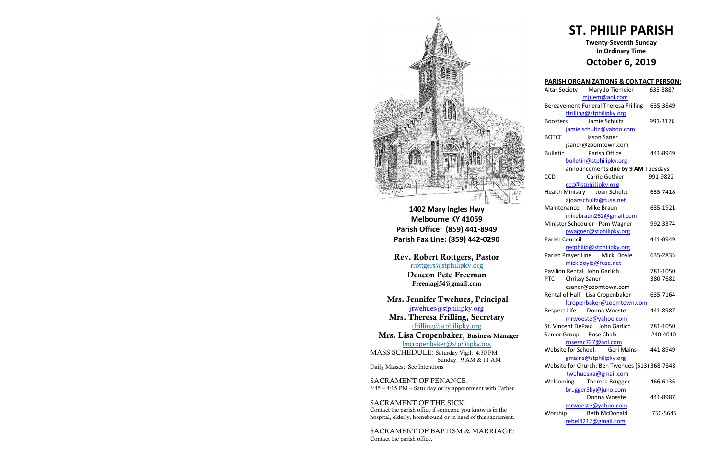

**1402 Mary Ingles Hwy Melbourne KY 41059 Parish Office: (859) 441-8949 Parish Fax Line: (859) 442-0290**

Mrs. Theresa Frilling, Secretary [tfrilling@stphilipky.org](mailto:tfrilling@stphilipky.org)

Rev. Robert Rottgers, Pastor [rrottgers@stphilipky.org](mailto:rrottgers@stphilipky.org) Deacon Pete Freeman Freemapj54@gmail.com

Mrs. Jennifer Twehues, Principal [jtwehues@stphilipky.org](mailto:jtwehues@stphilipky.org)

 Mrs. Lisa Cropenbaker, Business Manager lmcropenbaker@stphilipky.org

MASS SCHEDULE: Saturday Vigil: 4:30 PM Sunday: 9 AM & 11 AM Daily Masses: See Intentions

SACRAMENT OF PENANCE: 3:45 – 4:15 PM – Saturday or by appointment with Father

SACRAMENT OF THE SICK: Contact the parish office if someone you know is in the hospital, elderly, homebound or in need of this sacrament.

SACRAMENT OF BAPTISM & MARRIAGE: Contact the parish office.

# **ST. PHILIP PARISH**

# **Twenty-Seventh Sunday In Ordinary Time October 6, 2019**

| <b>PARISH ORGANIZATIONS &amp; CONTACT PERSON:</b> |          |
|---------------------------------------------------|----------|
| Altar Society Mary Jo Tiemeier                    | 635-3887 |
| mjtiem@aol.com                                    |          |
| Bereavement-Funeral Theresa Frilling              | 635-3849 |
| tfrilling@stphilipky.org                          |          |
| Jamie Schultz<br><b>Boosters</b>                  | 991-3176 |
| jamie.schultz@yahoo.com                           |          |
| <b>BOTCE</b><br>Jason Saner                       |          |
| jsaner@zoomtown.com                               |          |
| Parish Office<br><b>Bulletin</b>                  | 441-8949 |
| bulletin@stphilipky.org                           |          |
| announcements due by 9 AM Tuesdays                |          |
| Carrie Guthier<br><b>CCD</b>                      | 991-9822 |
| ccd@stphilipky.org                                |          |
| Health Ministry Joan Schultz                      | 635-7418 |
| ajoanschultz@fuse.net                             |          |
| Maintenance Mike Braun                            | 635-1921 |
| mikebraun262@gmail.com                            |          |
| Minister Scheduler Pam Wagner                     | 992-3374 |
| pwagner@stphilipky.org                            |          |
| Parish Council                                    | 441-8949 |
| recphilip@stphilipky.org                          |          |
| Parish Prayer Line Micki Doyle                    | 635-2835 |
| mickidoyle@fuse.net                               |          |
| Pavilion Rental John Garlich                      | 781-1050 |
| <b>PTC</b><br><b>Chrissy Saner</b>                | 380-7682 |
| csaner@zoomtown.com                               |          |
| Rental of Hall Lisa Cropenbaker                   | 635-7164 |
| lcropenbaker@zoomtown.com                         |          |
| Respect Life Donna Woeste                         | 441-8987 |
| mrwoeste@yahoo.com                                |          |
| St. Vincent DePaul John Garlich                   | 781-1050 |
| Senior Group Rose Chalk                           | 240-4010 |
| <u>rosezac727@aol.com</u>                         |          |
| Website for School: Geri Mains                    | 441-8949 |
| gmains@stphilipky.org                             |          |
| Website for Church: Ben Twehues (513) 368-7348    |          |
| twehuesba@gmail.com                               |          |
| Welcoming<br>Theresa Brugger                      | 466-6136 |
| brugger5ky@juno.com                               |          |
| Donna Woeste                                      | 441-8987 |
| mrwoeste@yahoo.com                                |          |
| <b>Beth McDonald</b>                              | 750-5645 |
| Worship                                           |          |
| rebel4212@gmail.com                               |          |